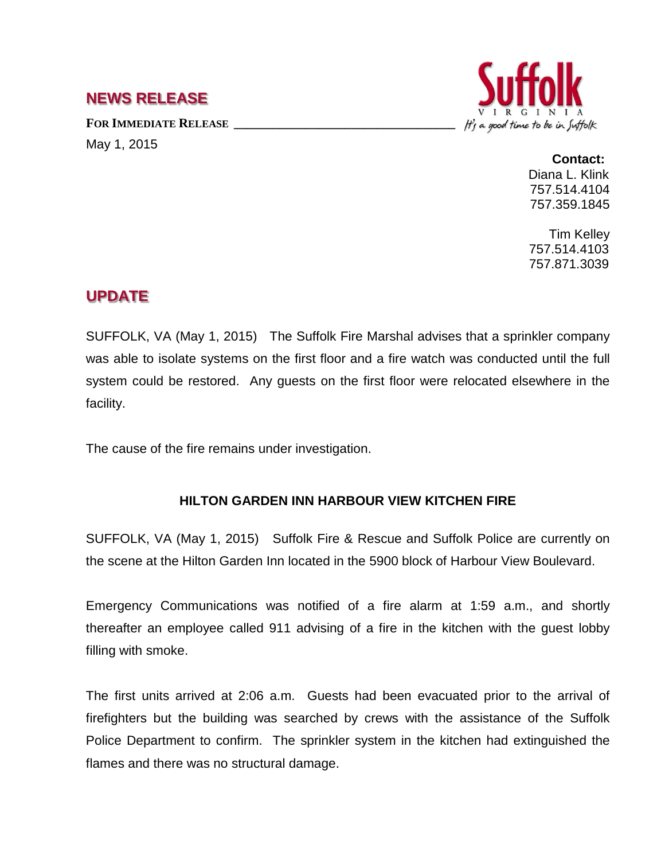## **NEWS RELEASE**

FOR **IMMEDIATE RELEASE** 

May 1, 2015



## **Contact:** Diana L. Klink

757.514.4104 757.359.1845

Tim Kelley 757.514.4103 757.871.3039

## **UPDATE**

SUFFOLK, VA (May 1, 2015) The Suffolk Fire Marshal advises that a sprinkler company was able to isolate systems on the first floor and a fire watch was conducted until the full system could be restored. Any guests on the first floor were relocated elsewhere in the facility.

The cause of the fire remains under investigation.

## **HILTON GARDEN INN HARBOUR VIEW KITCHEN FIRE**

SUFFOLK, VA (May 1, 2015) Suffolk Fire & Rescue and Suffolk Police are currently on the scene at the Hilton Garden Inn located in the 5900 block of Harbour View Boulevard.

Emergency Communications was notified of a fire alarm at 1:59 a.m., and shortly thereafter an employee called 911 advising of a fire in the kitchen with the guest lobby filling with smoke.

The first units arrived at 2:06 a.m. Guests had been evacuated prior to the arrival of firefighters but the building was searched by crews with the assistance of the Suffolk Police Department to confirm. The sprinkler system in the kitchen had extinguished the flames and there was no structural damage.